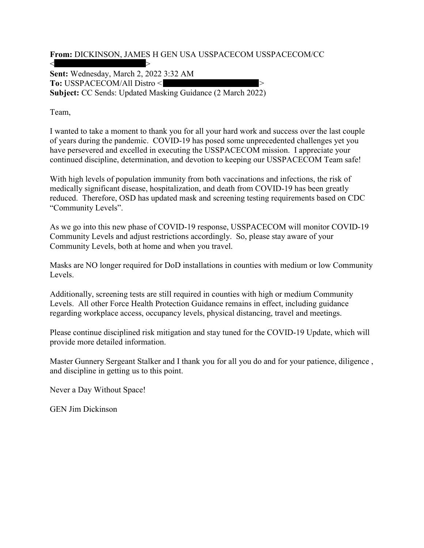From: DICKINSON, JAMES H GEN USA USSPACECOM USSPACECOM/CC

 $<$   $>$ Sent: Wednesday, March 2, 2022 3:32 AM To: USSPACECOM/All Distro < > Subject: CC Sends: Updated Masking Guidance (2 March 2022)

Team,

I wanted to take a moment to thank you for all your hard work and success over the last couple of years during the pandemic. COVID-19 has posed some unprecedented challenges yet you have persevered and excelled in executing the USSPACECOM mission. I appreciate your continued discipline, determination, and devotion to keeping our USSPACECOM Team safe!

With high levels of population immunity from both vaccinations and infections, the risk of medically significant disease, hospitalization, and death from COVID-19 has been greatly reduced. Therefore, OSD has updated mask and screening testing requirements based on CDC "Community Levels".

As we go into this new phase of COVID-19 response, USSPACECOM will monitor COVID-19 Community Levels and adjust restrictions accordingly. So, please stay aware of your Community Levels, both at home and when you travel.

Masks are NO longer required for DoD installations in counties with medium or low Community Levels.

Additionally, screening tests are still required in counties with high or medium Community Levels. All other Force Health Protection Guidance remains in effect, including guidance regarding workplace access, occupancy levels, physical distancing, travel and meetings.

Please continue disciplined risk mitigation and stay tuned for the COVID-19 Update, which will provide more detailed information.

Master Gunnery Sergeant Stalker and I thank you for all you do and for your patience, diligence , and discipline in getting us to this point.

Never a Day Without Space!

GEN Jim Dickinson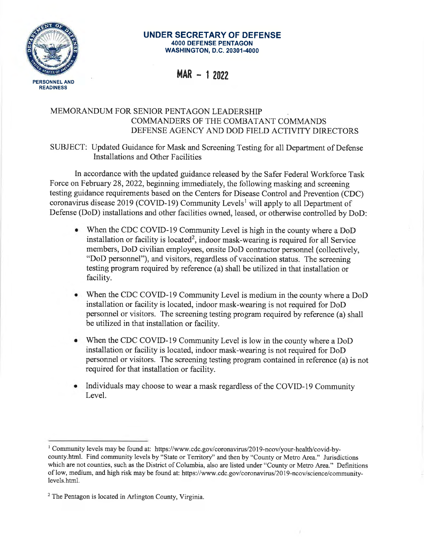

## **UNDER SECRETARY OF DEFENSE 4000 DEFENSE PENTAGON WASHINGTON, D.C. 20301-4000**

 $MAR - 12022$ 

## MEMORANDUM FOR SENIOR PENTAGON LEADERSHIP COMMANDERS OF THE COMBATANT COMMANDS DEFENSE AGENCY AND DOD FIELD ACTIVITY DIRECTORS

SUBJECT: Updated Guidance for Mask and Screening Testing for all Department of Defense Installations and Other Facilities

In accordance with the updated guidance released by the Safer Federal Workforce Task Force on February 28, 2022, beginning immediately, the following masking and screening testing guidance requirements based on the Centers for Disease Control and Prevention (CDC) coronavirus disease 2019 (COVID-19) Community Levels<sup>1</sup> will apply to all Department of Defense (DoD) installations and other facilities owned, leased, or otherwise controlled by DoD:

- When the CDC COVID-19 Community Level is high in the county where a DoD installation or facility is located<sup>2</sup>, indoor mask-wearing is required for all Service members, DoD civilian employees, onsite DoD contractor personnel (collectively, "DoD personnel"), and visitors, regardless of vaccination status. The screening testing program required by reference (a) shall be utilized in that installation or facility.
- When the CDC COVID-19 Community Level is medium in the county where a DoD installation or facility is located, indoor mask-wearing is not required for DoD personnel or visitors. The screening testing program required by reference (a) shall be utilized in that installation or facility.
- When the CDC COVID-19 Community Level is low in the county where a DoD installation or facility is located, indoor mask-wearing is not required for DoD personnel or visitors. The screening testing program contained in reference (a) is not required for that installation or facility.
- Individuals may choose to wear a mask regardless of the COVID-19 Community Level.

<sup>&</sup>lt;sup>1</sup> Community levels may be found at: https://www.cdc.gov/coronavirus/2019-ncov/your-health/covid-bycounty.html. Find community levels by "State or Territory" and then by "County or Metro Area." Jurisdictions which are not counties, such as the District of Columbia, also are listed under "County or Metro Area." Definitions of low, medium, and high risk may be found at: https://www.cdc.gov/coronavirus/2019-ncov/science/communitylevels.html.

 $2$  The Pentagon is located in Arlington County, Virginia.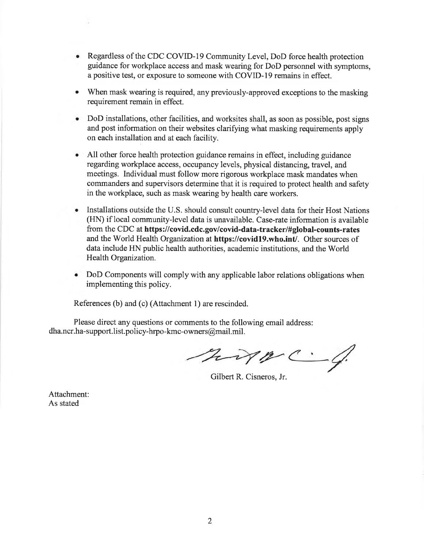- Regardless of the CDC COVID-19 Community Level, DoD force health protection guidance for workplace access and mask wearing for DoD personnel with symptoms, a positive test, or exposure to someone with COVID-19 remains in effect.
- When mask wearing is required, any previously-approved exceptions to the masking requirement remain in effect.
- DoD installations, other facilities, and worksites shall, as soon as possible, post signs and post information on their websites clarifying what masking requirements apply on each installation and at each facility.
- All other force health protection guidance remains in effect, including guidance regarding workplace access, occupancy levels, physical distancing, travel, and meetings. Individual must follow more rigorous workplace mask mandates when commanders and supervisors determine that it is required to protect health and safety in the workplace, such as mask wearing by health care workers.
- Installations outside the U.S. should consult country-level data for their Host Nations (HN) if local community-level data is unavailable. Case-rate information is available from the CDC at https://covid.cdc.gov/covid-data-tracker/#global-counts-rates and the World Health Organization at https://covid19.who.int/. Other sources of data include HN public health authorities, academic institutions, and the World Health Organization.
- DoD Components will comply with any applicable labor relations obligations when implementing this policy.

References (b) and (c) (Attachment 1) are rescinded.

Please direct any questions or comments to the following email address: dha.ncr.ha-support.list.policy-hrpo-kmc-owners@mail.mil.

hip C.4.

Gilbert R. Cisneros, Jr.

Attachment: As stated

i.